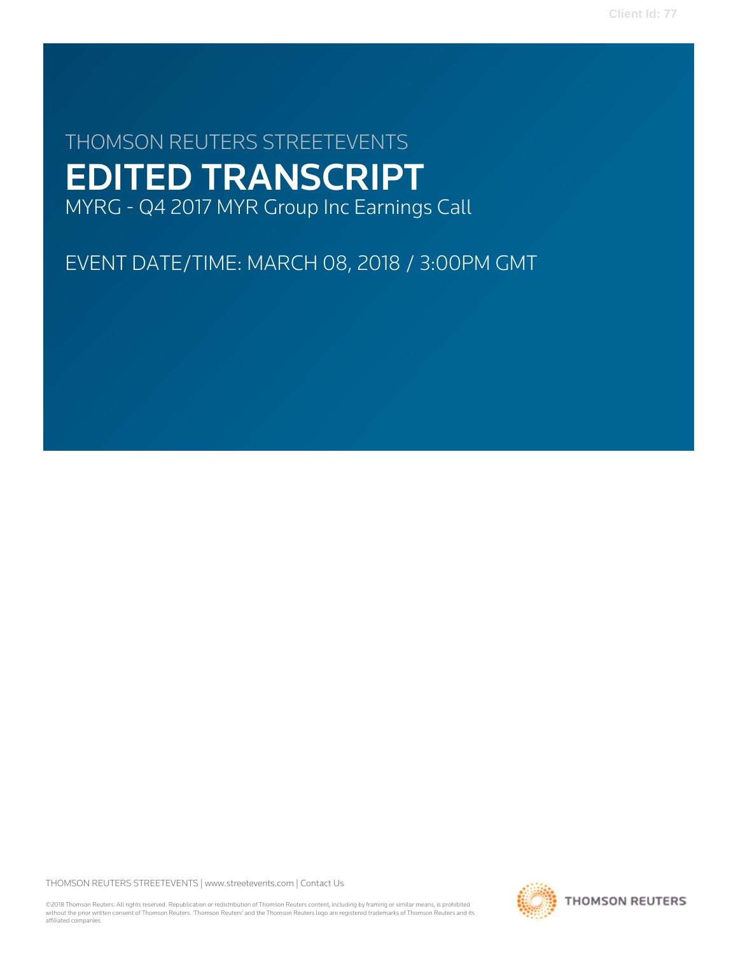# THOMSON REUTERS STREETEVENTS EDITED TRANSCRIPT MYRG - Q4 2017 MYR Group Inc Earnings Call

EVENT DATE/TIME: MARCH 08, 2018 / 3:00PM GMT

THOMSON REUTERS STREETEVENTS | [www.streetevents.com](http://www.streetevents.com) | [Contact Us](http://www010.streetevents.com/contact.asp)

©2018 Thomson Reuters. All rights reserved. Republication or redistribution of Thomson Reuters content, including by framing or similar means, is prohibited without the prior written consent of Thomson Reuters. 'Thomson Reuters' and the Thomson Reuters logo are registered trademarks of Thomson Reuters and its affiliated companies.

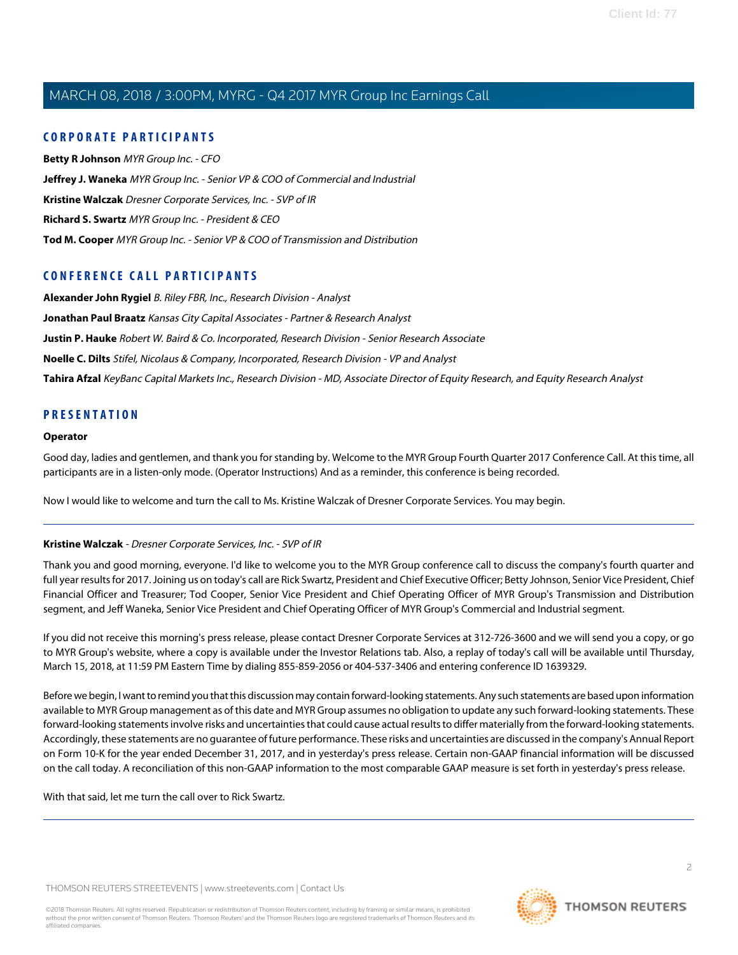# **CORPORATE PARTICIPANTS**

**[Betty R Johnson](#page-2-0)** MYR Group Inc. - CFO **[Jeffrey J. Waneka](#page-4-0)** MYR Group Inc. - Senior VP & COO of Commercial and Industrial **[Kristine Walczak](#page-1-0)** Dresner Corporate Services, Inc. - SVP of IR **[Richard S. Swartz](#page-2-1)** MYR Group Inc. - President & CEO **[Tod M. Cooper](#page-3-0)** MYR Group Inc. - Senior VP & COO of Transmission and Distribution

# **CONFERENCE CALL PARTICIPANTS**

**[Alexander John Rygiel](#page-7-0)** B. Riley FBR, Inc., Research Division - Analyst **[Jonathan Paul Braatz](#page-8-0)** Kansas City Capital Associates - Partner & Research Analyst **[Justin P. Hauke](#page-5-0)** Robert W. Baird & Co. Incorporated, Research Division - Senior Research Associate **[Noelle C. Dilts](#page-10-0)** Stifel, Nicolaus & Company, Incorporated, Research Division - VP and Analyst **[Tahira Afzal](#page-6-0)** KeyBanc Capital Markets Inc., Research Division - MD, Associate Director of Equity Research, and Equity Research Analyst

# **PRESENTATION**

#### **Operator**

Good day, ladies and gentlemen, and thank you for standing by. Welcome to the MYR Group Fourth Quarter 2017 Conference Call. At this time, all participants are in a listen-only mode. (Operator Instructions) And as a reminder, this conference is being recorded.

<span id="page-1-0"></span>Now I would like to welcome and turn the call to Ms. Kristine Walczak of Dresner Corporate Services. You may begin.

#### **Kristine Walczak** - Dresner Corporate Services, Inc. - SVP of IR

Thank you and good morning, everyone. I'd like to welcome you to the MYR Group conference call to discuss the company's fourth quarter and full year results for 2017. Joining us on today's call are Rick Swartz, President and Chief Executive Officer; Betty Johnson, Senior Vice President, Chief Financial Officer and Treasurer; Tod Cooper, Senior Vice President and Chief Operating Officer of MYR Group's Transmission and Distribution segment, and Jeff Waneka, Senior Vice President and Chief Operating Officer of MYR Group's Commercial and Industrial segment.

If you did not receive this morning's press release, please contact Dresner Corporate Services at 312-726-3600 and we will send you a copy, or go to MYR Group's website, where a copy is available under the Investor Relations tab. Also, a replay of today's call will be available until Thursday, March 15, 2018, at 11:59 PM Eastern Time by dialing 855-859-2056 or 404-537-3406 and entering conference ID 1639329.

Before we begin, I want to remind you that this discussion may contain forward-looking statements. Any such statements are based upon information available to MYR Group management as of this date and MYR Group assumes no obligation to update any such forward-looking statements. These forward-looking statements involve risks and uncertainties that could cause actual results to differ materially from the forward-looking statements. Accordingly, these statements are no guarantee of future performance. These risks and uncertainties are discussed in the company's Annual Report on Form 10-K for the year ended December 31, 2017, and in yesterday's press release. Certain non-GAAP financial information will be discussed on the call today. A reconciliation of this non-GAAP information to the most comparable GAAP measure is set forth in yesterday's press release.

With that said, let me turn the call over to Rick Swartz.

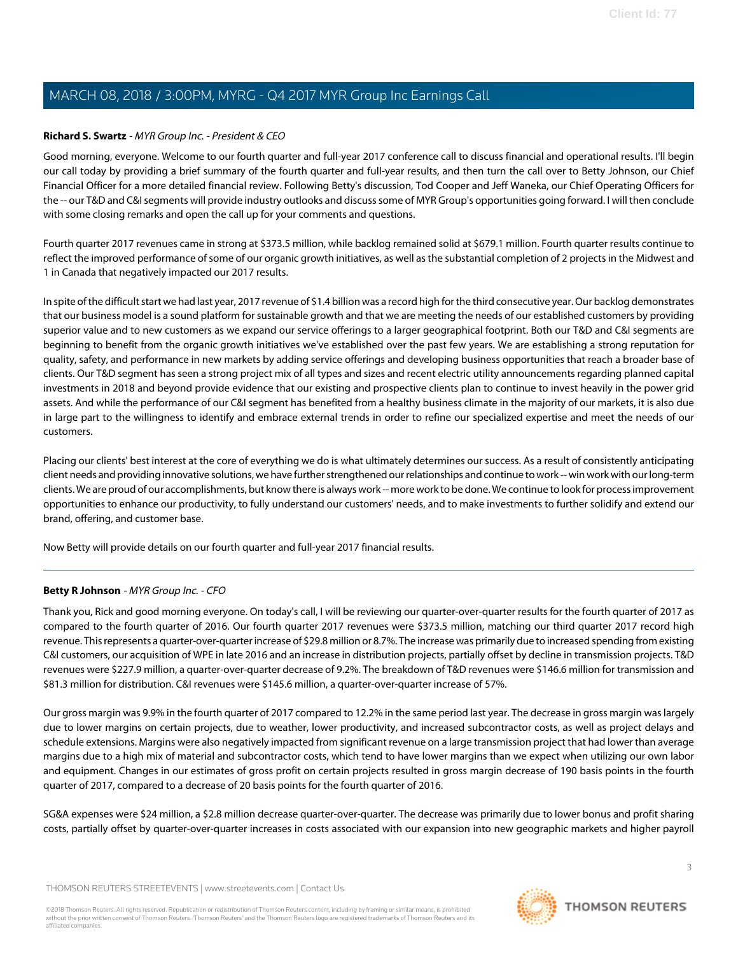## <span id="page-2-1"></span>**Richard S. Swartz** - MYR Group Inc. - President & CEO

Good morning, everyone. Welcome to our fourth quarter and full-year 2017 conference call to discuss financial and operational results. I'll begin our call today by providing a brief summary of the fourth quarter and full-year results, and then turn the call over to Betty Johnson, our Chief Financial Officer for a more detailed financial review. Following Betty's discussion, Tod Cooper and Jeff Waneka, our Chief Operating Officers for the -- our T&D and C&I segments will provide industry outlooks and discuss some of MYR Group's opportunities going forward. I will then conclude with some closing remarks and open the call up for your comments and questions.

Fourth quarter 2017 revenues came in strong at \$373.5 million, while backlog remained solid at \$679.1 million. Fourth quarter results continue to reflect the improved performance of some of our organic growth initiatives, as well as the substantial completion of 2 projects in the Midwest and 1 in Canada that negatively impacted our 2017 results.

In spite of the difficult start we had last year, 2017 revenue of \$1.4 billion was a record high for the third consecutive year. Our backlog demonstrates that our business model is a sound platform for sustainable growth and that we are meeting the needs of our established customers by providing superior value and to new customers as we expand our service offerings to a larger geographical footprint. Both our T&D and C&I segments are beginning to benefit from the organic growth initiatives we've established over the past few years. We are establishing a strong reputation for quality, safety, and performance in new markets by adding service offerings and developing business opportunities that reach a broader base of clients. Our T&D segment has seen a strong project mix of all types and sizes and recent electric utility announcements regarding planned capital investments in 2018 and beyond provide evidence that our existing and prospective clients plan to continue to invest heavily in the power grid assets. And while the performance of our C&I segment has benefited from a healthy business climate in the majority of our markets, it is also due in large part to the willingness to identify and embrace external trends in order to refine our specialized expertise and meet the needs of our customers.

Placing our clients' best interest at the core of everything we do is what ultimately determines our success. As a result of consistently anticipating client needs and providing innovative solutions, we have further strengthened our relationships and continue to work -- win work with our long-term clients. We are proud of our accomplishments, but know there is always work -- more work to be done. We continue to look for process improvement opportunities to enhance our productivity, to fully understand our customers' needs, and to make investments to further solidify and extend our brand, offering, and customer base.

<span id="page-2-0"></span>Now Betty will provide details on our fourth quarter and full-year 2017 financial results.

#### **Betty R Johnson** - MYR Group Inc. - CFO

Thank you, Rick and good morning everyone. On today's call, I will be reviewing our quarter-over-quarter results for the fourth quarter of 2017 as compared to the fourth quarter of 2016. Our fourth quarter 2017 revenues were \$373.5 million, matching our third quarter 2017 record high revenue. This represents a quarter-over-quarter increase of \$29.8 million or 8.7%. The increase was primarily due to increased spending from existing C&I customers, our acquisition of WPE in late 2016 and an increase in distribution projects, partially offset by decline in transmission projects. T&D revenues were \$227.9 million, a quarter-over-quarter decrease of 9.2%. The breakdown of T&D revenues were \$146.6 million for transmission and \$81.3 million for distribution. C&I revenues were \$145.6 million, a quarter-over-quarter increase of 57%.

Our gross margin was 9.9% in the fourth quarter of 2017 compared to 12.2% in the same period last year. The decrease in gross margin was largely due to lower margins on certain projects, due to weather, lower productivity, and increased subcontractor costs, as well as project delays and schedule extensions. Margins were also negatively impacted from significant revenue on a large transmission project that had lower than average margins due to a high mix of material and subcontractor costs, which tend to have lower margins than we expect when utilizing our own labor and equipment. Changes in our estimates of gross profit on certain projects resulted in gross margin decrease of 190 basis points in the fourth quarter of 2017, compared to a decrease of 20 basis points for the fourth quarter of 2016.

SG&A expenses were \$24 million, a \$2.8 million decrease quarter-over-quarter. The decrease was primarily due to lower bonus and profit sharing costs, partially offset by quarter-over-quarter increases in costs associated with our expansion into new geographic markets and higher payroll

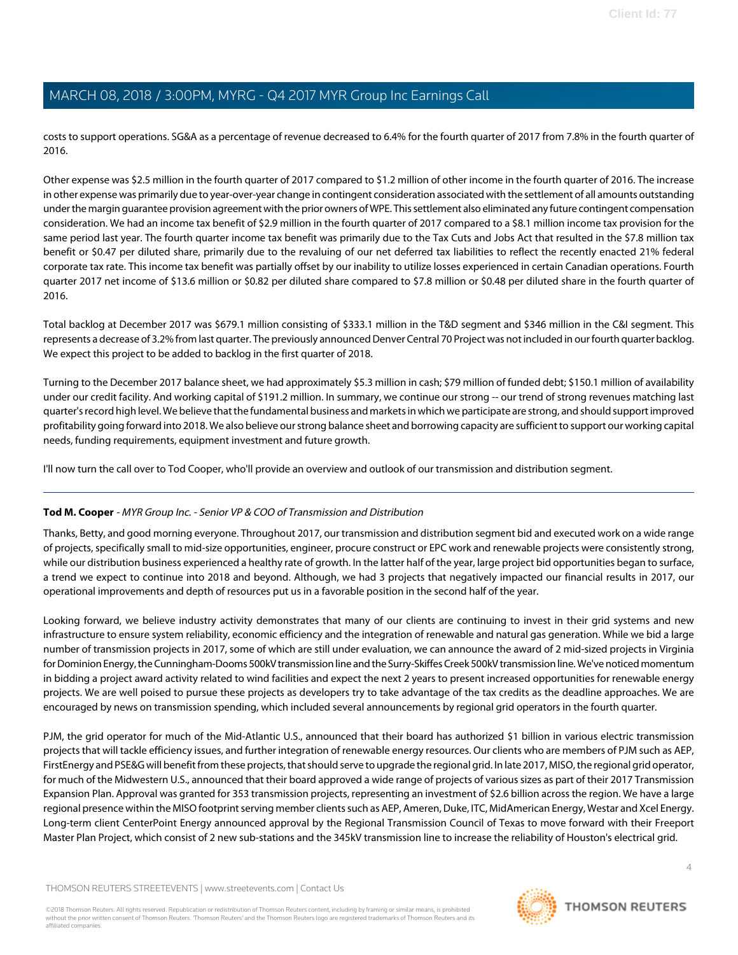costs to support operations. SG&A as a percentage of revenue decreased to 6.4% for the fourth quarter of 2017 from 7.8% in the fourth quarter of 2016.

Other expense was \$2.5 million in the fourth quarter of 2017 compared to \$1.2 million of other income in the fourth quarter of 2016. The increase in other expense was primarily due to year-over-year change in contingent consideration associated with the settlement of all amounts outstanding under the margin guarantee provision agreement with the prior owners of WPE. This settlement also eliminated any future contingent compensation consideration. We had an income tax benefit of \$2.9 million in the fourth quarter of 2017 compared to a \$8.1 million income tax provision for the same period last year. The fourth quarter income tax benefit was primarily due to the Tax Cuts and Jobs Act that resulted in the \$7.8 million tax benefit or \$0.47 per diluted share, primarily due to the revaluing of our net deferred tax liabilities to reflect the recently enacted 21% federal corporate tax rate. This income tax benefit was partially offset by our inability to utilize losses experienced in certain Canadian operations. Fourth quarter 2017 net income of \$13.6 million or \$0.82 per diluted share compared to \$7.8 million or \$0.48 per diluted share in the fourth quarter of 2016.

Total backlog at December 2017 was \$679.1 million consisting of \$333.1 million in the T&D segment and \$346 million in the C&I segment. This represents a decrease of 3.2% from last quarter. The previously announced Denver Central 70 Project was not included in our fourth quarter backlog. We expect this project to be added to backlog in the first quarter of 2018.

Turning to the December 2017 balance sheet, we had approximately \$5.3 million in cash; \$79 million of funded debt; \$150.1 million of availability under our credit facility. And working capital of \$191.2 million. In summary, we continue our strong -- our trend of strong revenues matching last quarter's record high level. We believe that the fundamental business and markets in which we participate are strong, and should support improved profitability going forward into 2018. We also believe our strong balance sheet and borrowing capacity are sufficient to support our working capital needs, funding requirements, equipment investment and future growth.

<span id="page-3-0"></span>I'll now turn the call over to Tod Cooper, who'll provide an overview and outlook of our transmission and distribution segment.

# **Tod M. Cooper** - MYR Group Inc. - Senior VP & COO of Transmission and Distribution

Thanks, Betty, and good morning everyone. Throughout 2017, our transmission and distribution segment bid and executed work on a wide range of projects, specifically small to mid-size opportunities, engineer, procure construct or EPC work and renewable projects were consistently strong, while our distribution business experienced a healthy rate of growth. In the latter half of the year, large project bid opportunities began to surface, a trend we expect to continue into 2018 and beyond. Although, we had 3 projects that negatively impacted our financial results in 2017, our operational improvements and depth of resources put us in a favorable position in the second half of the year.

Looking forward, we believe industry activity demonstrates that many of our clients are continuing to invest in their grid systems and new infrastructure to ensure system reliability, economic efficiency and the integration of renewable and natural gas generation. While we bid a large number of transmission projects in 2017, some of which are still under evaluation, we can announce the award of 2 mid-sized projects in Virginia for Dominion Energy, the Cunningham-Dooms 500kV transmission line and the Surry-Skiffes Creek 500kV transmission line. We've noticed momentum in bidding a project award activity related to wind facilities and expect the next 2 years to present increased opportunities for renewable energy projects. We are well poised to pursue these projects as developers try to take advantage of the tax credits as the deadline approaches. We are encouraged by news on transmission spending, which included several announcements by regional grid operators in the fourth quarter.

PJM, the grid operator for much of the Mid-Atlantic U.S., announced that their board has authorized \$1 billion in various electric transmission projects that will tackle efficiency issues, and further integration of renewable energy resources. Our clients who are members of PJM such as AEP, FirstEnergy and PSE&G will benefit from these projects, that should serve to upgrade the regional grid. In late 2017, MISO, the regional grid operator, for much of the Midwestern U.S., announced that their board approved a wide range of projects of various sizes as part of their 2017 Transmission Expansion Plan. Approval was granted for 353 transmission projects, representing an investment of \$2.6 billion across the region. We have a large regional presence within the MISO footprint serving member clients such as AEP, Ameren, Duke, ITC, MidAmerican Energy, Westar and Xcel Energy. Long-term client CenterPoint Energy announced approval by the Regional Transmission Council of Texas to move forward with their Freeport Master Plan Project, which consist of 2 new sub-stations and the 345kV transmission line to increase the reliability of Houston's electrical grid.

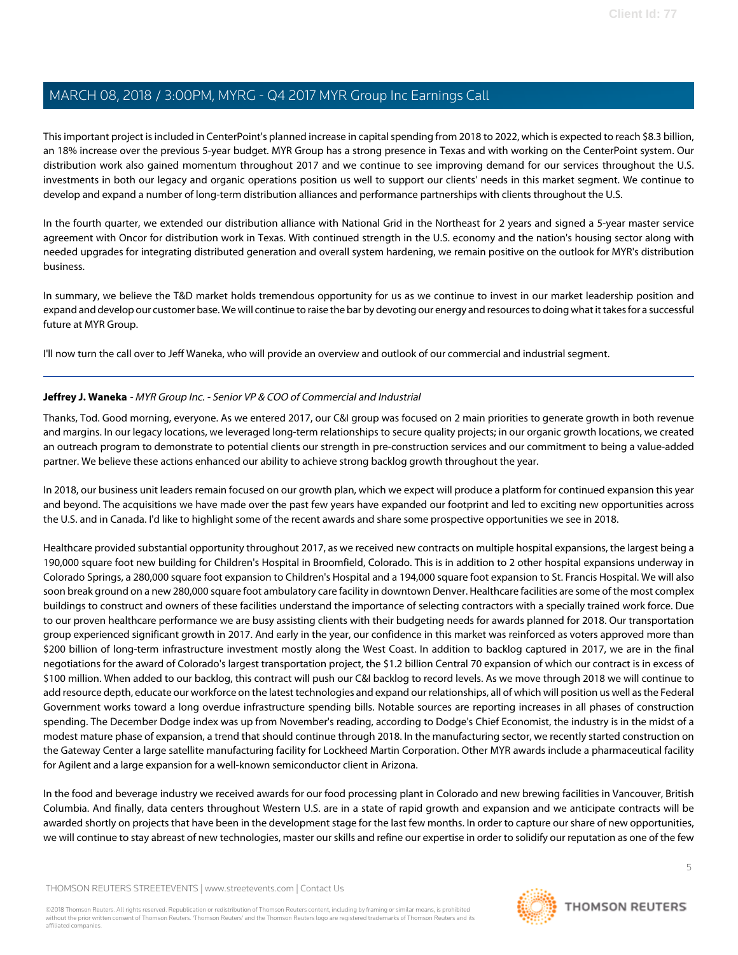This important project is included in CenterPoint's planned increase in capital spending from 2018 to 2022, which is expected to reach \$8.3 billion, an 18% increase over the previous 5-year budget. MYR Group has a strong presence in Texas and with working on the CenterPoint system. Our distribution work also gained momentum throughout 2017 and we continue to see improving demand for our services throughout the U.S. investments in both our legacy and organic operations position us well to support our clients' needs in this market segment. We continue to develop and expand a number of long-term distribution alliances and performance partnerships with clients throughout the U.S.

In the fourth quarter, we extended our distribution alliance with National Grid in the Northeast for 2 years and signed a 5-year master service agreement with Oncor for distribution work in Texas. With continued strength in the U.S. economy and the nation's housing sector along with needed upgrades for integrating distributed generation and overall system hardening, we remain positive on the outlook for MYR's distribution business.

In summary, we believe the T&D market holds tremendous opportunity for us as we continue to invest in our market leadership position and expand and develop our customer base. We will continue to raise the bar by devoting our energy and resources to doing what it takes for a successful future at MYR Group.

<span id="page-4-0"></span>I'll now turn the call over to Jeff Waneka, who will provide an overview and outlook of our commercial and industrial segment.

# **Jeffrey J. Waneka** - MYR Group Inc. - Senior VP & COO of Commercial and Industrial

Thanks, Tod. Good morning, everyone. As we entered 2017, our C&I group was focused on 2 main priorities to generate growth in both revenue and margins. In our legacy locations, we leveraged long-term relationships to secure quality projects; in our organic growth locations, we created an outreach program to demonstrate to potential clients our strength in pre-construction services and our commitment to being a value-added partner. We believe these actions enhanced our ability to achieve strong backlog growth throughout the year.

In 2018, our business unit leaders remain focused on our growth plan, which we expect will produce a platform for continued expansion this year and beyond. The acquisitions we have made over the past few years have expanded our footprint and led to exciting new opportunities across the U.S. and in Canada. I'd like to highlight some of the recent awards and share some prospective opportunities we see in 2018.

Healthcare provided substantial opportunity throughout 2017, as we received new contracts on multiple hospital expansions, the largest being a 190,000 square foot new building for Children's Hospital in Broomfield, Colorado. This is in addition to 2 other hospital expansions underway in Colorado Springs, a 280,000 square foot expansion to Children's Hospital and a 194,000 square foot expansion to St. Francis Hospital. We will also soon break ground on a new 280,000 square foot ambulatory care facility in downtown Denver. Healthcare facilities are some of the most complex buildings to construct and owners of these facilities understand the importance of selecting contractors with a specially trained work force. Due to our proven healthcare performance we are busy assisting clients with their budgeting needs for awards planned for 2018. Our transportation group experienced significant growth in 2017. And early in the year, our confidence in this market was reinforced as voters approved more than \$200 billion of long-term infrastructure investment mostly along the West Coast. In addition to backlog captured in 2017, we are in the final negotiations for the award of Colorado's largest transportation project, the \$1.2 billion Central 70 expansion of which our contract is in excess of \$100 million. When added to our backlog, this contract will push our C&I backlog to record levels. As we move through 2018 we will continue to add resource depth, educate our workforce on the latest technologies and expand our relationships, all of which will position us well as the Federal Government works toward a long overdue infrastructure spending bills. Notable sources are reporting increases in all phases of construction spending. The December Dodge index was up from November's reading, according to Dodge's Chief Economist, the industry is in the midst of a modest mature phase of expansion, a trend that should continue through 2018. In the manufacturing sector, we recently started construction on the Gateway Center a large satellite manufacturing facility for Lockheed Martin Corporation. Other MYR awards include a pharmaceutical facility for Agilent and a large expansion for a well-known semiconductor client in Arizona.

In the food and beverage industry we received awards for our food processing plant in Colorado and new brewing facilities in Vancouver, British Columbia. And finally, data centers throughout Western U.S. are in a state of rapid growth and expansion and we anticipate contracts will be awarded shortly on projects that have been in the development stage for the last few months. In order to capture our share of new opportunities, we will continue to stay abreast of new technologies, master our skills and refine our expertise in order to solidify our reputation as one of the few

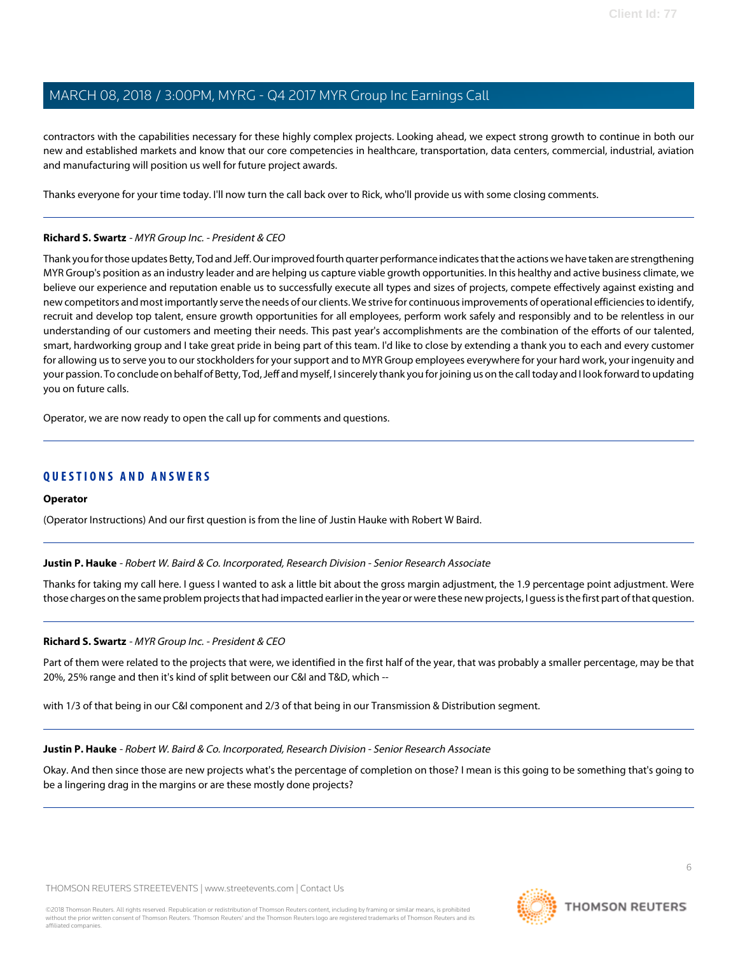contractors with the capabilities necessary for these highly complex projects. Looking ahead, we expect strong growth to continue in both our new and established markets and know that our core competencies in healthcare, transportation, data centers, commercial, industrial, aviation and manufacturing will position us well for future project awards.

Thanks everyone for your time today. I'll now turn the call back over to Rick, who'll provide us with some closing comments.

## **Richard S. Swartz** - MYR Group Inc. - President & CEO

Thank you for those updates Betty, Tod and Jeff. Our improved fourth quarter performance indicates that the actions we have taken are strengthening MYR Group's position as an industry leader and are helping us capture viable growth opportunities. In this healthy and active business climate, we believe our experience and reputation enable us to successfully execute all types and sizes of projects, compete effectively against existing and new competitors and most importantly serve the needs of our clients. We strive for continuous improvements of operational efficiencies to identify, recruit and develop top talent, ensure growth opportunities for all employees, perform work safely and responsibly and to be relentless in our understanding of our customers and meeting their needs. This past year's accomplishments are the combination of the efforts of our talented, smart, hardworking group and I take great pride in being part of this team. I'd like to close by extending a thank you to each and every customer for allowing us to serve you to our stockholders for your support and to MYR Group employees everywhere for your hard work, your ingenuity and your passion. To conclude on behalf of Betty, Tod, Jeff and myself, I sincerely thank you for joining us on the call today and I look forward to updating you on future calls.

Operator, we are now ready to open the call up for comments and questions.

# **QUESTIONS AND ANSWERS**

#### <span id="page-5-0"></span>**Operator**

(Operator Instructions) And our first question is from the line of Justin Hauke with Robert W Baird.

**Justin P. Hauke** - Robert W. Baird & Co. Incorporated, Research Division - Senior Research Associate

Thanks for taking my call here. I guess I wanted to ask a little bit about the gross margin adjustment, the 1.9 percentage point adjustment. Were those charges on the same problem projects that had impacted earlier in the year or were these new projects, I guess is the first part of that question.

#### **Richard S. Swartz** - MYR Group Inc. - President & CEO

Part of them were related to the projects that were, we identified in the first half of the year, that was probably a smaller percentage, may be that 20%, 25% range and then it's kind of split between our C&I and T&D, which --

with 1/3 of that being in our C&I component and 2/3 of that being in our Transmission & Distribution segment.

#### **Justin P. Hauke** - Robert W. Baird & Co. Incorporated, Research Division - Senior Research Associate

Okay. And then since those are new projects what's the percentage of completion on those? I mean is this going to be something that's going to be a lingering drag in the margins or are these mostly done projects?

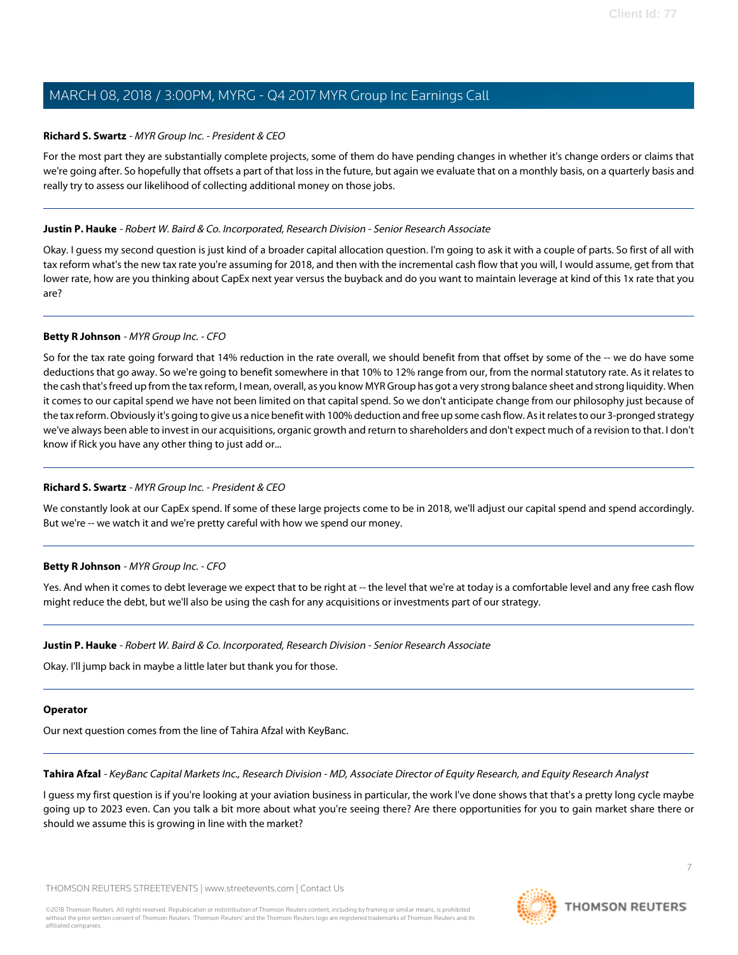## **Richard S. Swartz** - MYR Group Inc. - President & CEO

For the most part they are substantially complete projects, some of them do have pending changes in whether it's change orders or claims that we're going after. So hopefully that offsets a part of that loss in the future, but again we evaluate that on a monthly basis, on a quarterly basis and really try to assess our likelihood of collecting additional money on those jobs.

## **Justin P. Hauke** - Robert W. Baird & Co. Incorporated, Research Division - Senior Research Associate

Okay. I guess my second question is just kind of a broader capital allocation question. I'm going to ask it with a couple of parts. So first of all with tax reform what's the new tax rate you're assuming for 2018, and then with the incremental cash flow that you will, I would assume, get from that lower rate, how are you thinking about CapEx next year versus the buyback and do you want to maintain leverage at kind of this 1x rate that you are?

## **Betty R Johnson** - MYR Group Inc. - CFO

So for the tax rate going forward that 14% reduction in the rate overall, we should benefit from that offset by some of the -- we do have some deductions that go away. So we're going to benefit somewhere in that 10% to 12% range from our, from the normal statutory rate. As it relates to the cash that's freed up from the tax reform, I mean, overall, as you know MYR Group has got a very strong balance sheet and strong liquidity. When it comes to our capital spend we have not been limited on that capital spend. So we don't anticipate change from our philosophy just because of the tax reform. Obviously it's going to give us a nice benefit with 100% deduction and free up some cash flow. As it relates to our 3-pronged strategy we've always been able to invest in our acquisitions, organic growth and return to shareholders and don't expect much of a revision to that. I don't know if Rick you have any other thing to just add or...

# **Richard S. Swartz** - MYR Group Inc. - President & CEO

We constantly look at our CapEx spend. If some of these large projects come to be in 2018, we'll adjust our capital spend and spend accordingly. But we're -- we watch it and we're pretty careful with how we spend our money.

# **Betty R Johnson** - MYR Group Inc. - CFO

Yes. And when it comes to debt leverage we expect that to be right at -- the level that we're at today is a comfortable level and any free cash flow might reduce the debt, but we'll also be using the cash for any acquisitions or investments part of our strategy.

#### **Justin P. Hauke** - Robert W. Baird & Co. Incorporated, Research Division - Senior Research Associate

Okay. I'll jump back in maybe a little later but thank you for those.

#### <span id="page-6-0"></span>**Operator**

Our next question comes from the line of Tahira Afzal with KeyBanc.

#### **Tahira Afzal** - KeyBanc Capital Markets Inc., Research Division - MD, Associate Director of Equity Research, and Equity Research Analyst

I guess my first question is if you're looking at your aviation business in particular, the work I've done shows that that's a pretty long cycle maybe going up to 2023 even. Can you talk a bit more about what you're seeing there? Are there opportunities for you to gain market share there or should we assume this is growing in line with the market?

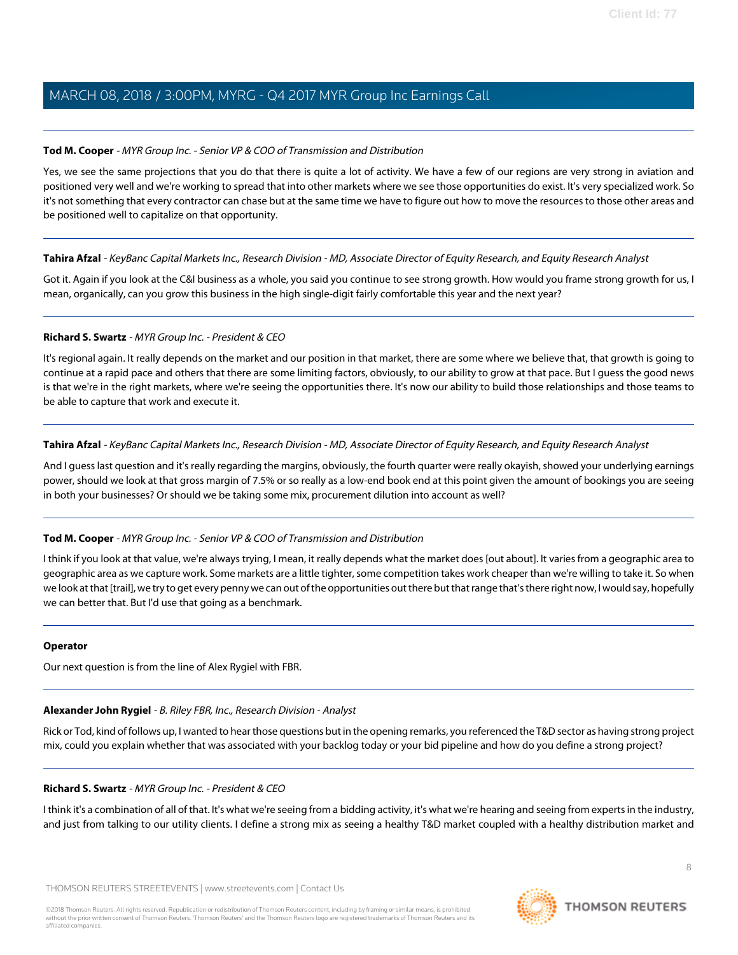## **Tod M. Cooper** - MYR Group Inc. - Senior VP & COO of Transmission and Distribution

Yes, we see the same projections that you do that there is quite a lot of activity. We have a few of our regions are very strong in aviation and positioned very well and we're working to spread that into other markets where we see those opportunities do exist. It's very specialized work. So it's not something that every contractor can chase but at the same time we have to figure out how to move the resources to those other areas and be positioned well to capitalize on that opportunity.

#### **Tahira Afzal** - KeyBanc Capital Markets Inc., Research Division - MD, Associate Director of Equity Research, and Equity Research Analyst

Got it. Again if you look at the C&I business as a whole, you said you continue to see strong growth. How would you frame strong growth for us, I mean, organically, can you grow this business in the high single-digit fairly comfortable this year and the next year?

## **Richard S. Swartz** - MYR Group Inc. - President & CEO

It's regional again. It really depends on the market and our position in that market, there are some where we believe that, that growth is going to continue at a rapid pace and others that there are some limiting factors, obviously, to our ability to grow at that pace. But I guess the good news is that we're in the right markets, where we're seeing the opportunities there. It's now our ability to build those relationships and those teams to be able to capture that work and execute it.

## **Tahira Afzal** - KeyBanc Capital Markets Inc., Research Division - MD, Associate Director of Equity Research, and Equity Research Analyst

And I guess last question and it's really regarding the margins, obviously, the fourth quarter were really okayish, showed your underlying earnings power, should we look at that gross margin of 7.5% or so really as a low-end book end at this point given the amount of bookings you are seeing in both your businesses? Or should we be taking some mix, procurement dilution into account as well?

#### **Tod M. Cooper** - MYR Group Inc. - Senior VP & COO of Transmission and Distribution

I think if you look at that value, we're always trying, I mean, it really depends what the market does [out about]. It varies from a geographic area to geographic area as we capture work. Some markets are a little tighter, some competition takes work cheaper than we're willing to take it. So when we look at that [trail], we try to get every penny we can out of the opportunities out there but that range that's there right now, I would say, hopefully we can better that. But I'd use that going as a benchmark.

#### <span id="page-7-0"></span>**Operator**

Our next question is from the line of Alex Rygiel with FBR.

# **Alexander John Rygiel** - B. Riley FBR, Inc., Research Division - Analyst

Rick or Tod, kind of follows up, I wanted to hear those questions but in the opening remarks, you referenced the T&D sector as having strong project mix, could you explain whether that was associated with your backlog today or your bid pipeline and how do you define a strong project?

#### **Richard S. Swartz** - MYR Group Inc. - President & CEO

I think it's a combination of all of that. It's what we're seeing from a bidding activity, it's what we're hearing and seeing from experts in the industry, and just from talking to our utility clients. I define a strong mix as seeing a healthy T&D market coupled with a healthy distribution market and

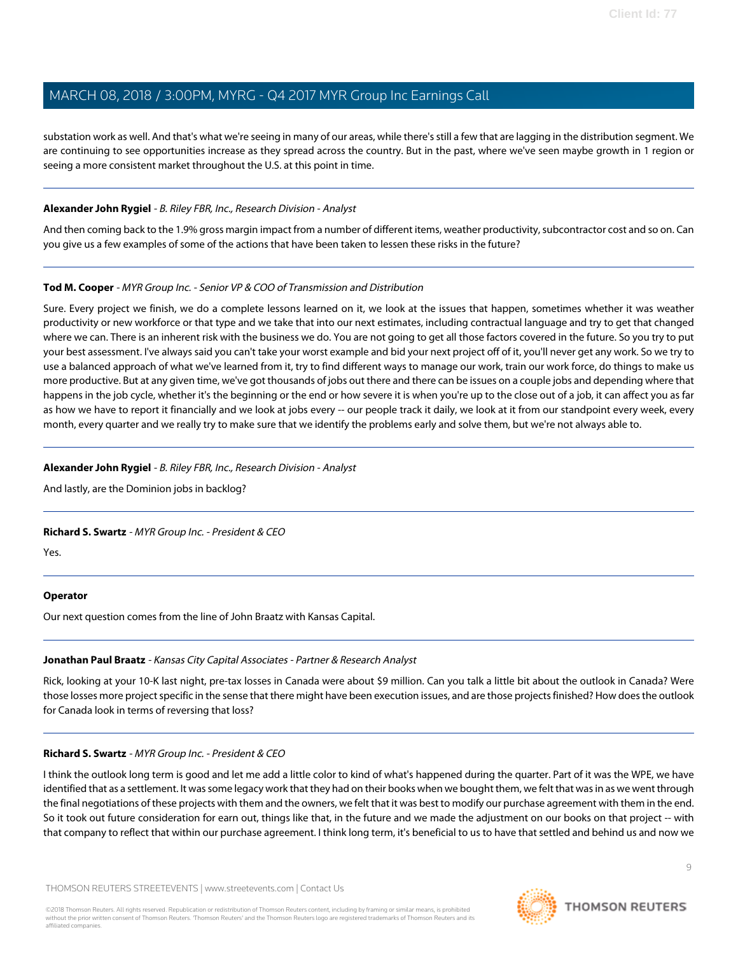substation work as well. And that's what we're seeing in many of our areas, while there's still a few that are lagging in the distribution segment. We are continuing to see opportunities increase as they spread across the country. But in the past, where we've seen maybe growth in 1 region or seeing a more consistent market throughout the U.S. at this point in time.

## **Alexander John Rygiel** - B. Riley FBR, Inc., Research Division - Analyst

And then coming back to the 1.9% gross margin impact from a number of different items, weather productivity, subcontractor cost and so on. Can you give us a few examples of some of the actions that have been taken to lessen these risks in the future?

## **Tod M. Cooper** - MYR Group Inc. - Senior VP & COO of Transmission and Distribution

Sure. Every project we finish, we do a complete lessons learned on it, we look at the issues that happen, sometimes whether it was weather productivity or new workforce or that type and we take that into our next estimates, including contractual language and try to get that changed where we can. There is an inherent risk with the business we do. You are not going to get all those factors covered in the future. So you try to put your best assessment. I've always said you can't take your worst example and bid your next project off of it, you'll never get any work. So we try to use a balanced approach of what we've learned from it, try to find different ways to manage our work, train our work force, do things to make us more productive. But at any given time, we've got thousands of jobs out there and there can be issues on a couple jobs and depending where that happens in the job cycle, whether it's the beginning or the end or how severe it is when you're up to the close out of a job, it can affect you as far as how we have to report it financially and we look at jobs every -- our people track it daily, we look at it from our standpoint every week, every month, every quarter and we really try to make sure that we identify the problems early and solve them, but we're not always able to.

## **Alexander John Rygiel** - B. Riley FBR, Inc., Research Division - Analyst

And lastly, are the Dominion jobs in backlog?

# **Richard S. Swartz** - MYR Group Inc. - President & CEO

Yes.

# <span id="page-8-0"></span>**Operator**

Our next question comes from the line of John Braatz with Kansas Capital.

# **Jonathan Paul Braatz** - Kansas City Capital Associates - Partner & Research Analyst

Rick, looking at your 10-K last night, pre-tax losses in Canada were about \$9 million. Can you talk a little bit about the outlook in Canada? Were those losses more project specific in the sense that there might have been execution issues, and are those projects finished? How does the outlook for Canada look in terms of reversing that loss?

# **Richard S. Swartz** - MYR Group Inc. - President & CEO

I think the outlook long term is good and let me add a little color to kind of what's happened during the quarter. Part of it was the WPE, we have identified that as a settlement. It was some legacy work that they had on their books when we bought them, we felt that was in as we went through the final negotiations of these projects with them and the owners, we felt that it was best to modify our purchase agreement with them in the end. So it took out future consideration for earn out, things like that, in the future and we made the adjustment on our books on that project -- with that company to reflect that within our purchase agreement. I think long term, it's beneficial to us to have that settled and behind us and now we

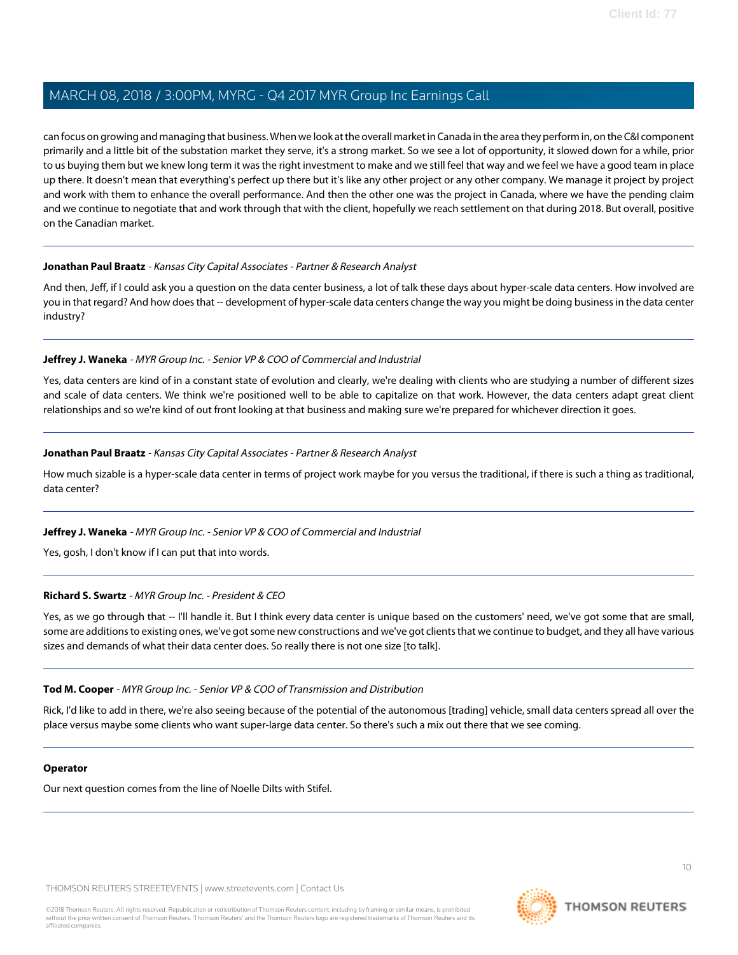can focus on growing and managing that business. When we look at the overall market in Canada in the area they perform in, on the C&I component primarily and a little bit of the substation market they serve, it's a strong market. So we see a lot of opportunity, it slowed down for a while, prior to us buying them but we knew long term it was the right investment to make and we still feel that way and we feel we have a good team in place up there. It doesn't mean that everything's perfect up there but it's like any other project or any other company. We manage it project by project and work with them to enhance the overall performance. And then the other one was the project in Canada, where we have the pending claim and we continue to negotiate that and work through that with the client, hopefully we reach settlement on that during 2018. But overall, positive on the Canadian market.

#### **Jonathan Paul Braatz** - Kansas City Capital Associates - Partner & Research Analyst

And then, Jeff, if I could ask you a question on the data center business, a lot of talk these days about hyper-scale data centers. How involved are you in that regard? And how does that -- development of hyper-scale data centers change the way you might be doing business in the data center industry?

## **Jeffrey J. Waneka** - MYR Group Inc. - Senior VP & COO of Commercial and Industrial

Yes, data centers are kind of in a constant state of evolution and clearly, we're dealing with clients who are studying a number of different sizes and scale of data centers. We think we're positioned well to be able to capitalize on that work. However, the data centers adapt great client relationships and so we're kind of out front looking at that business and making sure we're prepared for whichever direction it goes.

## **Jonathan Paul Braatz** - Kansas City Capital Associates - Partner & Research Analyst

How much sizable is a hyper-scale data center in terms of project work maybe for you versus the traditional, if there is such a thing as traditional, data center?

# **Jeffrey J. Waneka** - MYR Group Inc. - Senior VP & COO of Commercial and Industrial

Yes, gosh, I don't know if I can put that into words.

#### **Richard S. Swartz** - MYR Group Inc. - President & CEO

Yes, as we go through that -- I'll handle it. But I think every data center is unique based on the customers' need, we've got some that are small, some are additions to existing ones, we've got some new constructions and we've got clients that we continue to budget, and they all have various sizes and demands of what their data center does. So really there is not one size [to talk].

#### **Tod M. Cooper** - MYR Group Inc. - Senior VP & COO of Transmission and Distribution

Rick, I'd like to add in there, we're also seeing because of the potential of the autonomous [trading] vehicle, small data centers spread all over the place versus maybe some clients who want super-large data center. So there's such a mix out there that we see coming.

#### **Operator**

Our next question comes from the line of Noelle Dilts with Stifel.

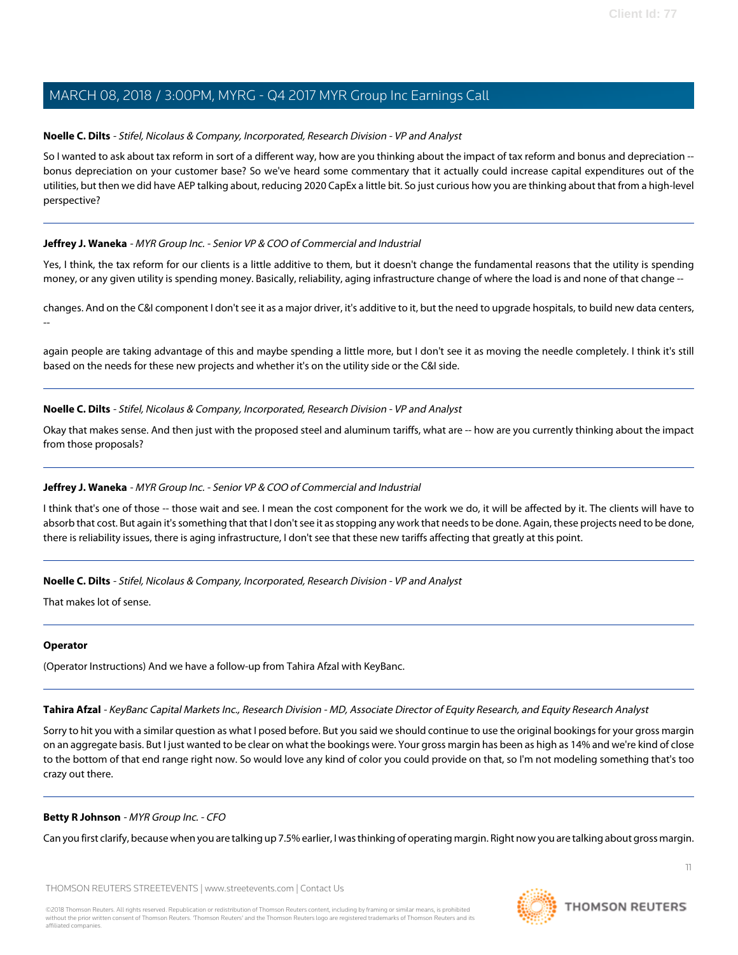## <span id="page-10-0"></span>**Noelle C. Dilts** - Stifel, Nicolaus & Company, Incorporated, Research Division - VP and Analyst

So I wanted to ask about tax reform in sort of a different way, how are you thinking about the impact of tax reform and bonus and depreciation - bonus depreciation on your customer base? So we've heard some commentary that it actually could increase capital expenditures out of the utilities, but then we did have AEP talking about, reducing 2020 CapEx a little bit. So just curious how you are thinking about that from a high-level perspective?

## **Jeffrey J. Waneka** - MYR Group Inc. - Senior VP & COO of Commercial and Industrial

Yes, I think, the tax reform for our clients is a little additive to them, but it doesn't change the fundamental reasons that the utility is spending money, or any given utility is spending money. Basically, reliability, aging infrastructure change of where the load is and none of that change --

changes. And on the C&I component I don't see it as a major driver, it's additive to it, but the need to upgrade hospitals, to build new data centers, --

again people are taking advantage of this and maybe spending a little more, but I don't see it as moving the needle completely. I think it's still based on the needs for these new projects and whether it's on the utility side or the C&I side.

## **Noelle C. Dilts** - Stifel, Nicolaus & Company, Incorporated, Research Division - VP and Analyst

Okay that makes sense. And then just with the proposed steel and aluminum tariffs, what are -- how are you currently thinking about the impact from those proposals?

# **Jeffrey J. Waneka** - MYR Group Inc. - Senior VP & COO of Commercial and Industrial

I think that's one of those -- those wait and see. I mean the cost component for the work we do, it will be affected by it. The clients will have to absorb that cost. But again it's something that that I don't see it as stopping any work that needs to be done. Again, these projects need to be done, there is reliability issues, there is aging infrastructure, I don't see that these new tariffs affecting that greatly at this point.

**Noelle C. Dilts** - Stifel, Nicolaus & Company, Incorporated, Research Division - VP and Analyst

That makes lot of sense.

#### **Operator**

(Operator Instructions) And we have a follow-up from Tahira Afzal with KeyBanc.

**Tahira Afzal** - KeyBanc Capital Markets Inc., Research Division - MD, Associate Director of Equity Research, and Equity Research Analyst

Sorry to hit you with a similar question as what I posed before. But you said we should continue to use the original bookings for your gross margin on an aggregate basis. But I just wanted to be clear on what the bookings were. Your gross margin has been as high as 14% and we're kind of close to the bottom of that end range right now. So would love any kind of color you could provide on that, so I'm not modeling something that's too crazy out there.

#### **Betty R Johnson** - MYR Group Inc. - CFO

Can you first clarify, because when you are talking up 7.5% earlier, I was thinking of operating margin. Right now you are talking about gross margin.

THOMSON REUTERS STREETEVENTS | [www.streetevents.com](http://www.streetevents.com) | [Contact Us](http://www010.streetevents.com/contact.asp)

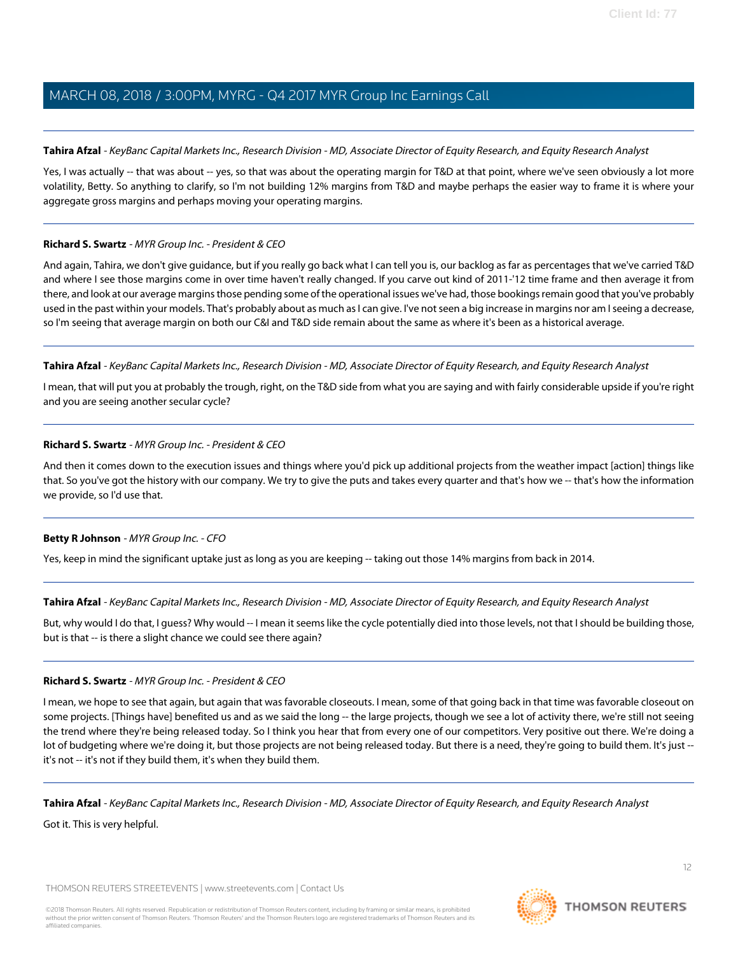#### **Tahira Afzal** - KeyBanc Capital Markets Inc., Research Division - MD, Associate Director of Equity Research, and Equity Research Analyst

Yes, I was actually -- that was about -- yes, so that was about the operating margin for T&D at that point, where we've seen obviously a lot more volatility, Betty. So anything to clarify, so I'm not building 12% margins from T&D and maybe perhaps the easier way to frame it is where your aggregate gross margins and perhaps moving your operating margins.

## **Richard S. Swartz** - MYR Group Inc. - President & CEO

And again, Tahira, we don't give guidance, but if you really go back what I can tell you is, our backlog as far as percentages that we've carried T&D and where I see those margins come in over time haven't really changed. If you carve out kind of 2011-'12 time frame and then average it from there, and look at our average margins those pending some of the operational issues we've had, those bookings remain good that you've probably used in the past within your models. That's probably about as much as I can give. I've not seen a big increase in margins nor am I seeing a decrease, so I'm seeing that average margin on both our C&I and T&D side remain about the same as where it's been as a historical average.

## **Tahira Afzal** - KeyBanc Capital Markets Inc., Research Division - MD, Associate Director of Equity Research, and Equity Research Analyst

I mean, that will put you at probably the trough, right, on the T&D side from what you are saying and with fairly considerable upside if you're right and you are seeing another secular cycle?

## **Richard S. Swartz** - MYR Group Inc. - President & CEO

And then it comes down to the execution issues and things where you'd pick up additional projects from the weather impact [action] things like that. So you've got the history with our company. We try to give the puts and takes every quarter and that's how we -- that's how the information we provide, so I'd use that.

# **Betty R Johnson** - MYR Group Inc. - CFO

Yes, keep in mind the significant uptake just as long as you are keeping -- taking out those 14% margins from back in 2014.

#### **Tahira Afzal** - KeyBanc Capital Markets Inc., Research Division - MD, Associate Director of Equity Research, and Equity Research Analyst

But, why would I do that, I guess? Why would -- I mean it seems like the cycle potentially died into those levels, not that I should be building those, but is that -- is there a slight chance we could see there again?

#### **Richard S. Swartz** - MYR Group Inc. - President & CEO

I mean, we hope to see that again, but again that was favorable closeouts. I mean, some of that going back in that time was favorable closeout on some projects. [Things have] benefited us and as we said the long -- the large projects, though we see a lot of activity there, we're still not seeing the trend where they're being released today. So I think you hear that from every one of our competitors. Very positive out there. We're doing a lot of budgeting where we're doing it, but those projects are not being released today. But there is a need, they're going to build them. It's just -it's not -- it's not if they build them, it's when they build them.

**Tahira Afzal** - KeyBanc Capital Markets Inc., Research Division - MD, Associate Director of Equity Research, and Equity Research Analyst

Got it. This is very helpful.